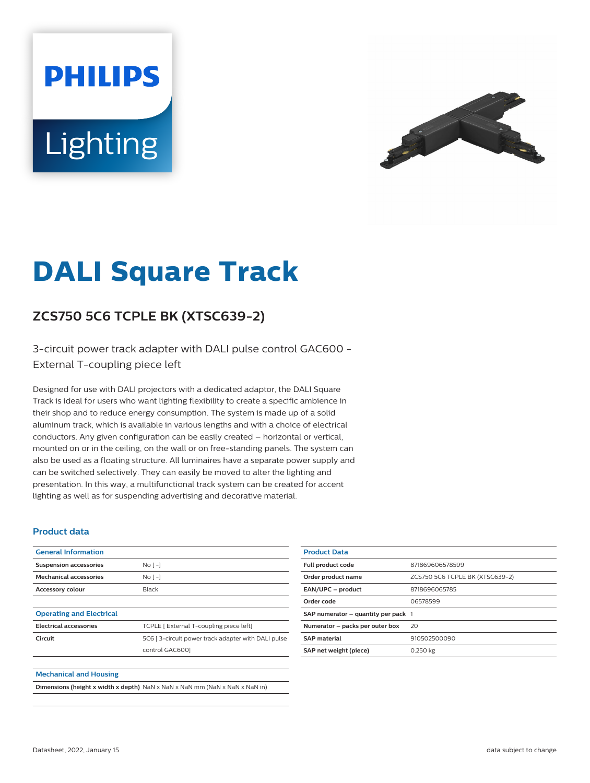# **PHILIPS** Lighting



## **DALI Square Track**

### **ZCS750 5C6 TCPLE BK (XTSC639-2)**

#### 3-circuit power track adapter with DALI pulse control GAC600 - External T-coupling piece left

Designed for use with DALI projectors with a dedicated adaptor, the DALI Square Track is ideal for users who want lighting flexibility to create a specific ambience in their shop and to reduce energy consumption. The system is made up of a solid aluminum track, which is available in various lengths and with a choice of electrical conductors. Any given configuration can be easily created – horizontal or vertical, mounted on or in the ceiling, on the wall or on free-standing panels. The system can also be used as a floating structure. All luminaires have a separate power supply and can be switched selectively. They can easily be moved to alter the lighting and presentation. In this way, a multifunctional track system can be created for accent lighting as well as for suspending advertising and decorative material.

#### **Product data**

| <b>General Information</b>      |                                                    |
|---------------------------------|----------------------------------------------------|
| <b>Suspension accessories</b>   | No <sub>1</sub>                                    |
| <b>Mechanical accessories</b>   | No <sub>1</sub>                                    |
| <b>Accessory colour</b>         | Black                                              |
|                                 |                                                    |
| <b>Operating and Electrical</b> |                                                    |
| <b>Electrical accessories</b>   | TCPLE [ External T-coupling piece left]            |
| Circuit                         | 5C6 [3-circuit power track adapter with DALI pulse |
|                                 | control GAC6001                                    |
|                                 |                                                    |
| <b>Mechanical and Housing</b>   |                                                    |

|  | <b>Dimensions (height x width x depth)</b> NaN x NaN x NaN mm (NaN x NaN x NaN in) |
|--|------------------------------------------------------------------------------------|
|--|------------------------------------------------------------------------------------|

| <b>Product Data</b>                     |                                 |
|-----------------------------------------|---------------------------------|
| <b>Full product code</b>                | 871869606578599                 |
| Order product name                      | ZCS750 5C6 TCPLE BK (XTSC639-2) |
| EAN/UPC - product                       | 8718696065785                   |
| Order code                              | 06578599                        |
| SAP numerator $-$ quantity per pack $1$ |                                 |
| Numerator - packs per outer box         | 20                              |
| <b>SAP material</b>                     | 910502500090                    |
| SAP net weight (piece)                  | 0.250 kg                        |
|                                         |                                 |